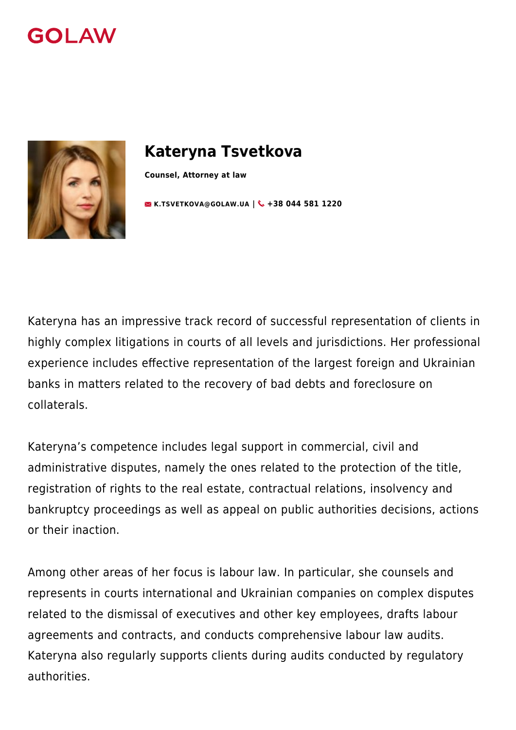



# **Kateryna Tsvetkova**

**Counsel, Attorney at law**

**[K.TSVETKOVA@GOLAW.UA](mailto:info@golaw.ua) | & +38 044 581 1220** 

Kateryna has an impressive track record of successful representation of clients in highly complex litigations in courts of all levels and jurisdictions. Her professional experience includes effective representation of the largest foreign and Ukrainian banks in matters related to the recovery of bad debts and foreclosure on collaterals.

Kateryna's competence includes legal support in commercial, civil and administrative disputes, namely the ones related to the protection of the title, registration of rights to the real estate, contractual relations, insolvency and bankruptcy proceedings as well as appeal on public authorities decisions, actions or their inaction.

Among other areas of her focus is labour law. In particular, she counsels and represents in courts international and Ukrainian companies on complex disputes related to the dismissal of executives and other key employees, drafts labour agreements and contracts, and conducts comprehensive labour law audits. Kateryna also regularly supports clients during audits conducted by regulatory authorities.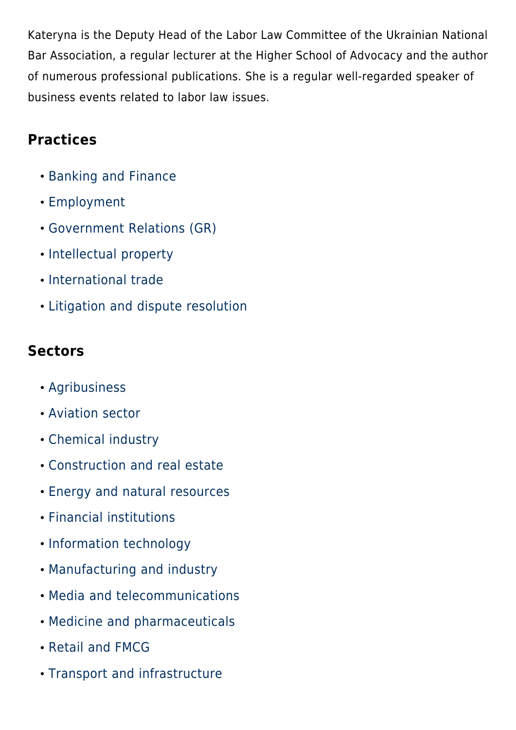Kateryna is the Deputy Head of the Labor Law Committee of the Ukrainian National Bar Association, a regular lecturer at the Higher School of Advocacy and the author of numerous professional publications. She is a regular well-regarded speaker of business events related to labor law issues.

### **Practices**

- [Banking and Finance](#page--1-0)
- [Employment](#page--1-0)
- [Government Relations \(GR\)](#page--1-0)
- [Intellectual property](#page--1-0)
- [International trade](#page--1-0)
- [Litigation and dispute resolution](#page--1-0)

### **Sectors**

- [Agribusiness](#page--1-0)
- [Aviation sector](#page--1-0)
- [Chemical industry](#page--1-0)
- [Construction and real estate](#page--1-0)
- [Energy and natural resources](#page--1-0)
- [Financial institutions](#page--1-0)
- [Information technology](#page--1-0)
- [Manufacturing and industry](#page--1-0)
- [Media and telecommunications](#page--1-0)
- [Medicine and pharmaceuticals](#page--1-0)
- [Retail and FMCG](#page--1-0)
- [Transport and infrastructure](#page--1-0)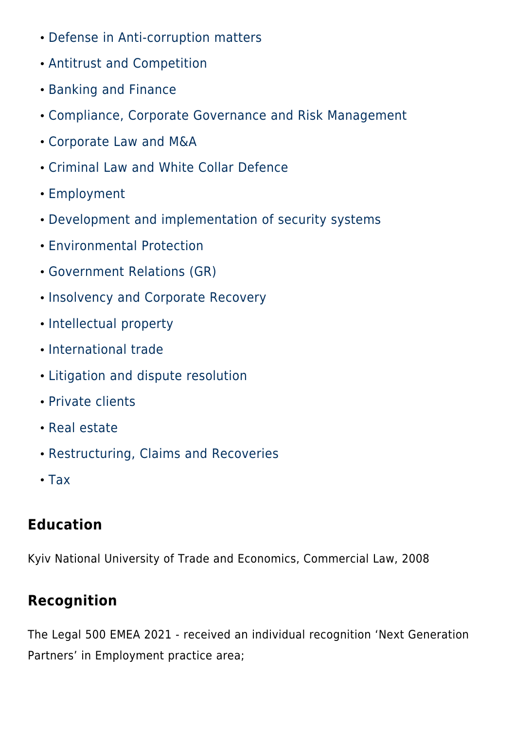- [Defense in Anti-corruption matters](#page--1-0)
- [Antitrust and Competition](#page--1-0)
- [Banking and Finance](#page--1-0)
- [Compliance, Corporate Governance and Risk Management](#page--1-0)
- [Corporate Law and M&A](#page--1-0)
- [Criminal Law and White Collar Defence](#page--1-0)
- [Employment](#page--1-0)
- [Development and implementation of security systems](#page--1-0)
- [Environmental Protection](#page--1-0)
- [Government Relations \(GR\)](#page--1-0)
- **. [Insolvency and Corporate Recovery](#page--1-0)**
- [Intellectual property](#page--1-0)
- [International trade](#page--1-0)
- [Litigation and dispute resolution](#page--1-0)
- [Private clients](#page--1-0)
- [Real estate](#page--1-0)
- [Restructuring, Claims and Recoveries](#page--1-0)
- [Tax](#page--1-0)

# **Education**

Kyiv National University of Trade and Economics, Commercial Law, 2008

# **Recognition**

The Legal 500 EMEA 2021 - received an individual recognition 'Next Generation Partners' in Employment practice area;